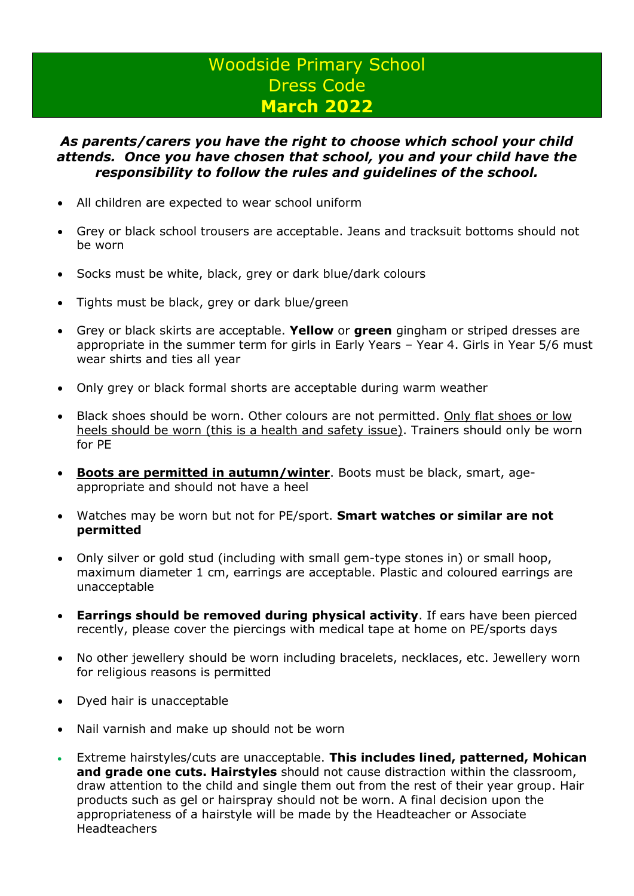## Woodside Primary School Dress Code **March 2022**

## *As parents/carers you have the right to choose which school your child attends. Once you have chosen that school, you and your child have the responsibility to follow the rules and guidelines of the school.*

- All children are expected to wear school uniform
- Grey or black school trousers are acceptable. Jeans and tracksuit bottoms should not be worn
- Socks must be white, black, grey or dark blue/dark colours
- Tights must be black, grey or dark blue/green
- Grey or black skirts are acceptable. **Yellow** or **green** gingham or striped dresses are appropriate in the summer term for girls in Early Years – Year 4. Girls in Year 5/6 must wear shirts and ties all year
- Only grey or black formal shorts are acceptable during warm weather
- Black shoes should be worn. Other colours are not permitted. Only flat shoes or low heels should be worn (this is a health and safety issue). Trainers should only be worn for PE
- **Boots are permitted in autumn/winter**. Boots must be black, smart, ageappropriate and should not have a heel
- Watches may be worn but not for PE/sport. **Smart watches or similar are not permitted**
- Only silver or gold stud (including with small gem-type stones in) or small hoop, maximum diameter 1 cm, earrings are acceptable. Plastic and coloured earrings are unacceptable
- **Earrings should be removed during physical activity**. If ears have been pierced recently, please cover the piercings with medical tape at home on PE/sports days
- No other jewellery should be worn including bracelets, necklaces, etc. Jewellery worn for religious reasons is permitted
- Dyed hair is unacceptable
- Nail varnish and make up should not be worn
- Extreme hairstyles/cuts are unacceptable. **This includes lined, patterned, Mohican and grade one cuts. Hairstyles** should not cause distraction within the classroom, draw attention to the child and single them out from the rest of their year group. Hair products such as gel or hairspray should not be worn. A final decision upon the appropriateness of a hairstyle will be made by the Headteacher or Associate **Headteachers**